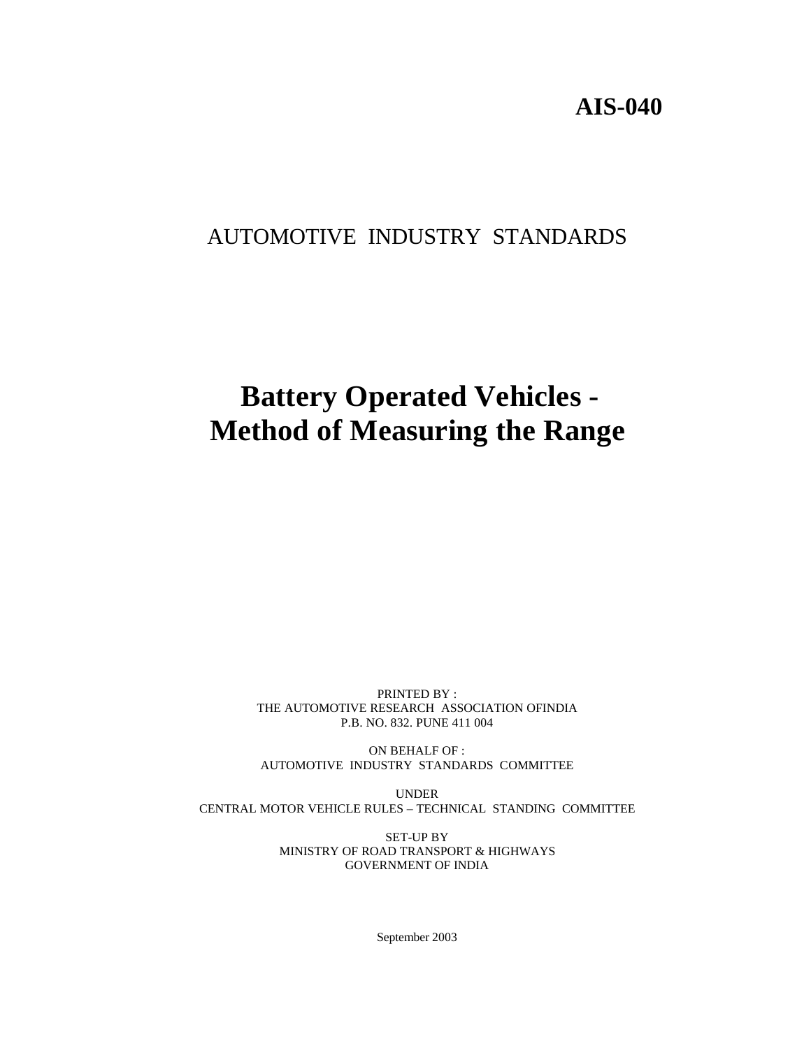# **AIS-040**

# AUTOMOTIVE INDUSTRY STANDARDS

# **Battery Operated Vehicles - Method of Measuring the Range**

PRINTED BY : THE AUTOMOTIVE RESEARCH ASSOCIATION OFINDIA P.B. NO. 832. PUNE 411 004

ON BEHALF OF : AUTOMOTIVE INDUSTRY STANDARDS COMMITTEE

UNDER CENTRAL MOTOR VEHICLE RULES – TECHNICAL STANDING COMMITTEE

> SET-UP BY MINISTRY OF ROAD TRANSPORT & HIGHWAYS GOVERNMENT OF INDIA

> > September 2003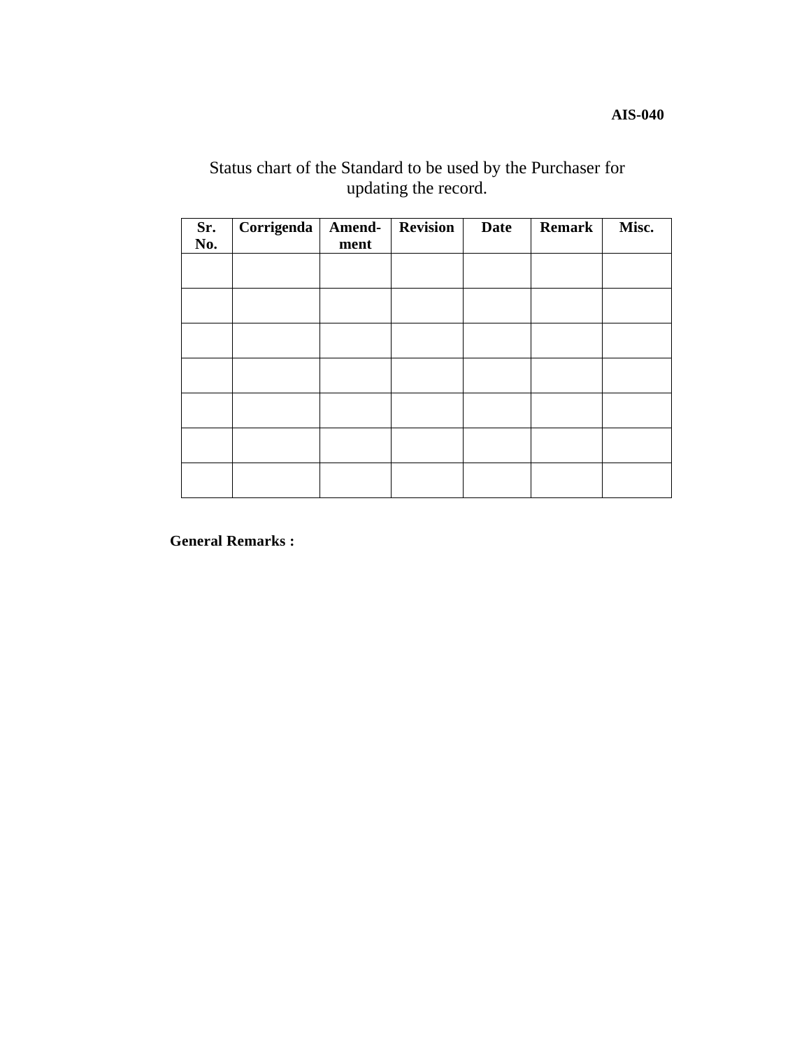**AIS-040**

# Status chart of the Standard to be used by the Purchaser for updating the record.

| Sr.<br>No. | Corrigenda | Amend-<br>ment | <b>Revision</b> | <b>Date</b> | Remark | Misc. |
|------------|------------|----------------|-----------------|-------------|--------|-------|
|            |            |                |                 |             |        |       |
|            |            |                |                 |             |        |       |
|            |            |                |                 |             |        |       |
|            |            |                |                 |             |        |       |
|            |            |                |                 |             |        |       |
|            |            |                |                 |             |        |       |
|            |            |                |                 |             |        |       |

**General Remarks :**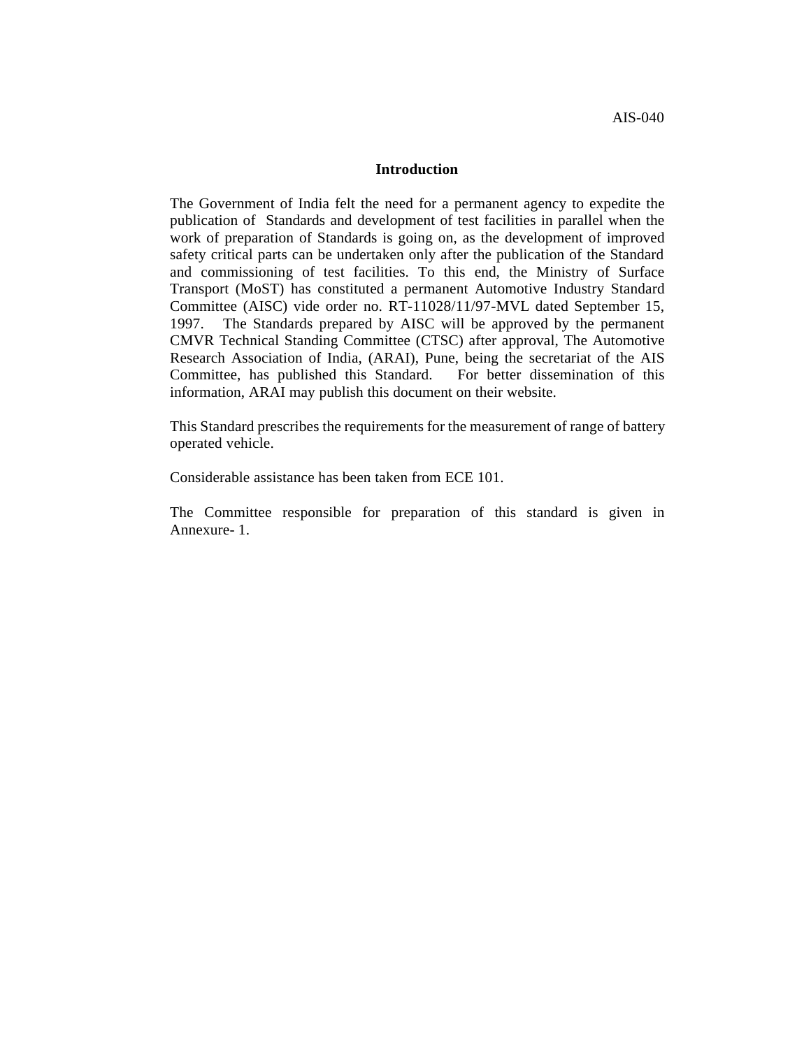#### **Introduction**

The Government of India felt the need for a permanent agency to expedite the publication of Standards and development of test facilities in parallel when the work of preparation of Standards is going on, as the development of improved safety critical parts can be undertaken only after the publication of the Standard and commissioning of test facilities. To this end, the Ministry of Surface Transport (MoST) has constituted a permanent Automotive Industry Standard Committee (AISC) vide order no. RT-11028/11/97-MVL dated September 15, 1997. The Standards prepared by AISC will be approved by the permanent CMVR Technical Standing Committee (CTSC) after approval, The Automotive Research Association of India, (ARAI), Pune, being the secretariat of the AIS Committee, has published this Standard. For better dissemination of this information, ARAI may publish this document on their website.

This Standard prescribes the requirements for the measurement of range of battery operated vehicle.

Considerable assistance has been taken from ECE 101.

The Committee responsible for preparation of this standard is given in Annexure- 1.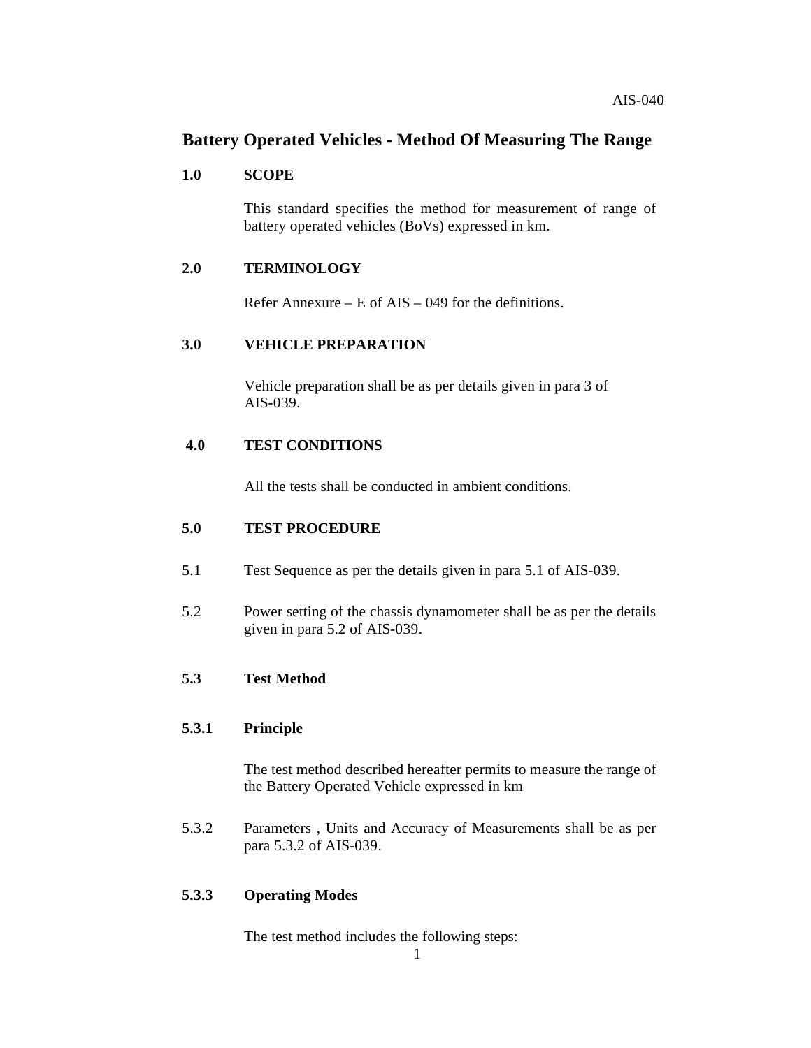# **Battery Operated Vehicles - Method Of Measuring The Range**

#### **1.0 SCOPE**

This standard specifies the method for measurement of range of battery operated vehicles (BoVs) expressed in km.

#### **2.0 TERMINOLOGY**

Refer Annexure – E of  $\overline{A}$ IS – 049 for the definitions.

## **3.0 VEHICLE PREPARATION**

Vehicle preparation shall be as per details given in para 3 of AIS-039.

#### **4.0 TEST CONDITIONS**

All the tests shall be conducted in ambient conditions.

#### **5.0 TEST PROCEDURE**

- 5.1 Test Sequence as per the details given in para 5.1 of AIS-039.
- 5.2 Power setting of the chassis dynamometer shall be as per the details given in para 5.2 of AIS-039.

#### **5.3 Test Method**

#### **5.3.1 Principle**

The test method described hereafter permits to measure the range of the Battery Operated Vehicle expressed in km

5.3.2 Parameters , Units and Accuracy of Measurements shall be as per para 5.3.2 of AIS-039.

## **5.3.3 Operating Modes**

The test method includes the following steps: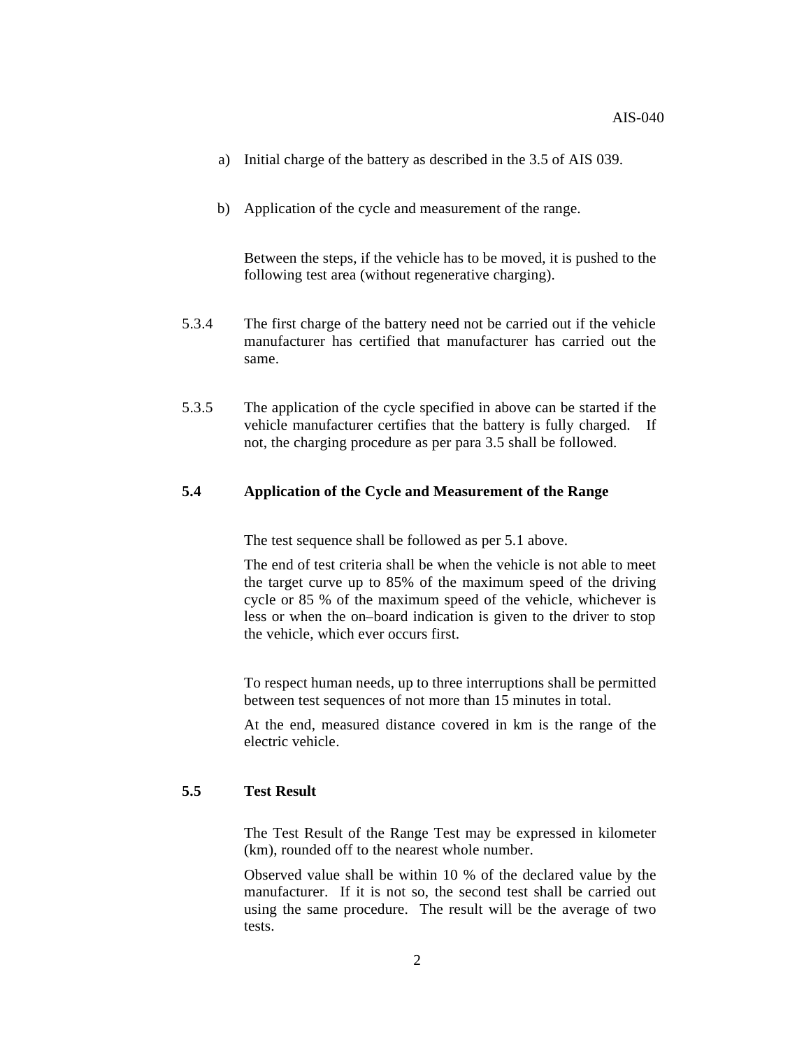- a) Initial charge of the battery as described in the 3.5 of AIS 039.
- b) Application of the cycle and measurement of the range.

Between the steps, if the vehicle has to be moved, it is pushed to the following test area (without regenerative charging).

- 5.3.4 The first charge of the battery need not be carried out if the vehicle manufacturer has certified that manufacturer has carried out the same.
- 5.3.5 The application of the cycle specified in above can be started if the vehicle manufacturer certifies that the battery is fully charged. If not, the charging procedure as per para 3.5 shall be followed.

#### **5.4 Application of the Cycle and Measurement of the Range**

The test sequence shall be followed as per 5.1 above.

The end of test criteria shall be when the vehicle is not able to meet the target curve up to 85% of the maximum speed of the driving cycle or 85 % of the maximum speed of the vehicle, whichever is less or when the on–board indication is given to the driver to stop the vehicle, which ever occurs first.

To respect human needs, up to three interruptions shall be permitted between test sequences of not more than 15 minutes in total.

At the end, measured distance covered in km is the range of the electric vehicle.

#### **5.5 Test Result**

The Test Result of the Range Test may be expressed in kilometer (km), rounded off to the nearest whole number.

Observed value shall be within 10 % of the declared value by the manufacturer. If it is not so, the second test shall be carried out using the same procedure. The result will be the average of two tests.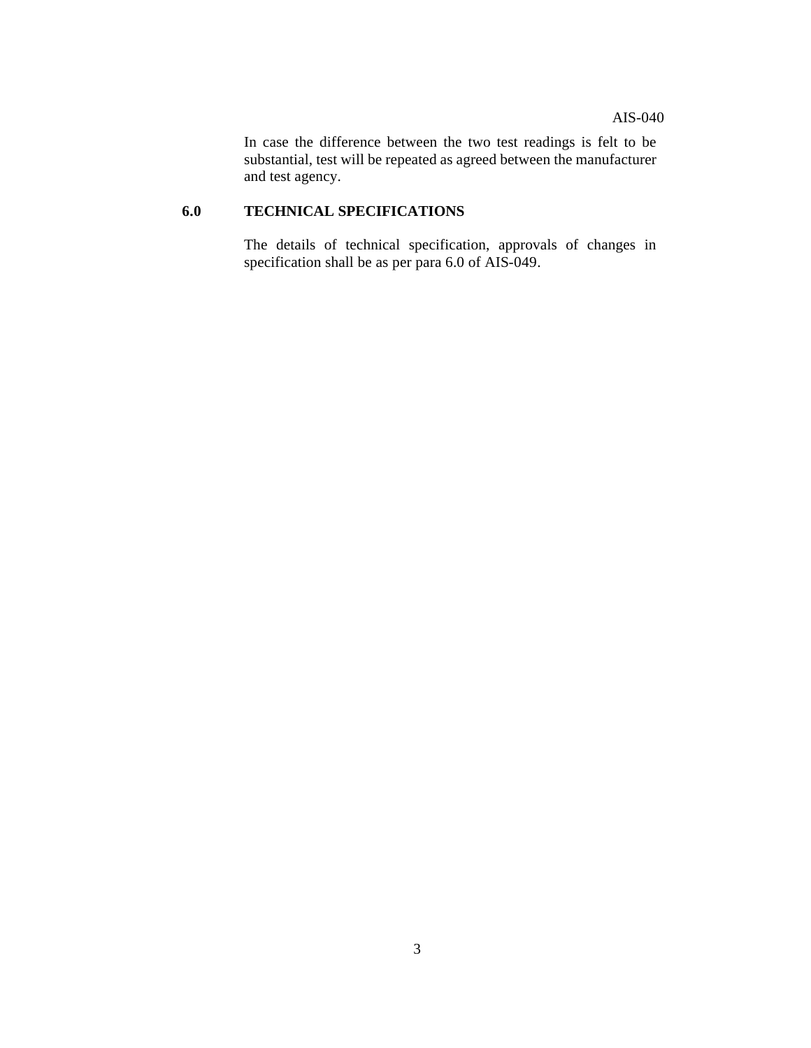In case the difference between the two test readings is felt to be substantial, test will be repeated as agreed between the manufacturer and test agency.

## **6.0 TECHNICAL SPECIFICATIONS**

The details of technical specification, approvals of changes in specification shall be as per para 6.0 of AIS-049.